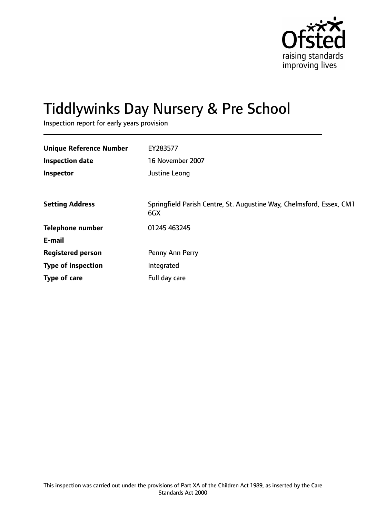

# Tiddlywinks Day Nursery & Pre School

Inspection report for early years provision

| <b>Unique Reference Number</b> | EY283577                                                                    |
|--------------------------------|-----------------------------------------------------------------------------|
| <b>Inspection date</b>         | 16 November 2007                                                            |
| Inspector                      | Justine Leong                                                               |
|                                |                                                                             |
| <b>Setting Address</b>         | Springfield Parish Centre, St. Augustine Way, Chelmsford, Essex, CM1<br>6GX |
| <b>Telephone number</b>        | 01245 463245                                                                |
| E-mail                         |                                                                             |
| <b>Registered person</b>       | Penny Ann Perry                                                             |
| <b>Type of inspection</b>      | Integrated                                                                  |
| Type of care                   | Full day care                                                               |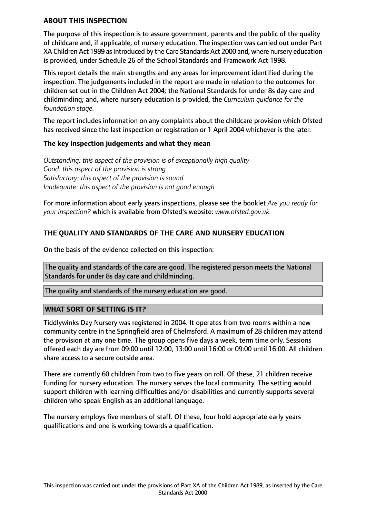#### **ABOUT THIS INSPECTION**

The purpose of this inspection is to assure government, parents and the public of the quality of childcare and, if applicable, of nursery education. The inspection was carried out under Part XA Children Act 1989 as introduced by the Care Standards Act 2000 and, where nursery education is provided, under Schedule 26 of the School Standards and Framework Act 1998.

This report details the main strengths and any areas for improvement identified during the inspection. The judgements included in the report are made in relation to the outcomes for children set out in the Children Act 2004; the National Standards for under 8s day care and childminding; and, where nursery education is provided, the *Curriculum guidance for the foundation stage.*

The report includes information on any complaints about the childcare provision which Ofsted has received since the last inspection or registration or 1 April 2004 whichever is the later.

## **The key inspection judgements and what they mean**

*Outstanding: this aspect of the provision is of exceptionally high quality Good: this aspect of the provision is strong Satisfactory: this aspect of the provision is sound Inadequate: this aspect of the provision is not good enough*

For more information about early years inspections, please see the booklet *Are you ready for your inspection?* which is available from Ofsted's website: *www.ofsted.gov.uk.*

# **THE QUALITY AND STANDARDS OF THE CARE AND NURSERY EDUCATION**

On the basis of the evidence collected on this inspection:

The quality and standards of the care are good. The registered person meets the National Standards for under 8s day care and childminding.

The quality and standards of the nursery education are good.

## **WHAT SORT OF SETTING IS IT?**

Tiddlywinks Day Nursery was registered in 2004. It operates from two rooms within a new community centre in the Springfield area of Chelmsford. A maximum of 28 children may attend the provision at any one time. The group opens five days a week, term time only. Sessions offered each day are from 09:00 until 12:00, 13:00 until 16:00 or 09:00 until 16:00. All children share access to a secure outside area.

There are currently 60 children from two to five years on roll. Of these, 21 children receive funding for nursery education. The nursery serves the local community. The setting would support children with learning difficulties and/or disabilities and currently supports several children who speak English as an additional language.

The nursery employs five members of staff. Of these, four hold appropriate early years qualifications and one is working towards a qualification.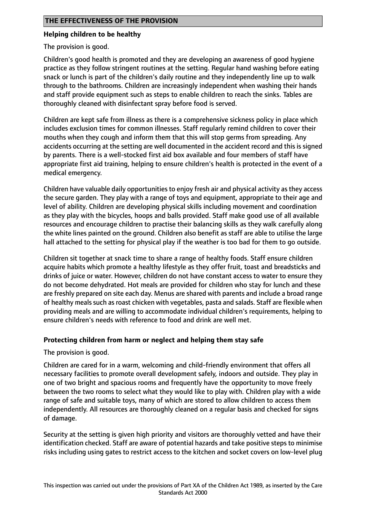## **Helping children to be healthy**

The provision is good.

Children's good health is promoted and they are developing an awareness of good hygiene practice as they follow stringent routines at the setting. Regular hand washing before eating snack or lunch is part of the children's daily routine and they independently line up to walk through to the bathrooms. Children are increasingly independent when washing their hands and staff provide equipment such as steps to enable children to reach the sinks. Tables are thoroughly cleaned with disinfectant spray before food is served.

Children are kept safe from illness as there is a comprehensive sickness policy in place which includes exclusion times for common illnesses. Staff regularly remind children to cover their mouths when they cough and inform them that this will stop germs from spreading. Any accidents occurring at the setting are well documented in the accident record and this is signed by parents. There is a well-stocked first aid box available and four members of staff have appropriate first aid training, helping to ensure children's health is protected in the event of a medical emergency.

Children have valuable daily opportunities to enjoy fresh air and physical activity as they access the secure garden. They play with a range of toys and equipment, appropriate to their age and level of ability. Children are developing physical skills including movement and coordination as they play with the bicycles, hoops and balls provided. Staff make good use of all available resources and encourage children to practise their balancing skills as they walk carefully along the white lines painted on the ground. Children also benefit as staff are able to utilise the large hall attached to the setting for physical play if the weather is too bad for them to go outside.

Children sit together at snack time to share a range of healthy foods. Staff ensure children acquire habits which promote a healthy lifestyle as they offer fruit, toast and breadsticks and drinks of juice or water. However, children do not have constant access to water to ensure they do not become dehydrated. Hot meals are provided for children who stay for lunch and these are freshly prepared on site each day. Menus are shared with parents and include a broad range of healthy meals such as roast chicken with vegetables, pasta and salads. Staff are flexible when providing meals and are willing to accommodate individual children's requirements, helping to ensure children's needs with reference to food and drink are well met.

## **Protecting children from harm or neglect and helping them stay safe**

The provision is good.

Children are cared for in a warm, welcoming and child-friendly environment that offers all necessary facilities to promote overall development safely, indoors and outside. They play in one of two bright and spacious rooms and frequently have the opportunity to move freely between the two rooms to select what they would like to play with. Children play with a wide range of safe and suitable toys, many of which are stored to allow children to access them independently. All resources are thoroughly cleaned on a regular basis and checked for signs of damage.

Security at the setting is given high priority and visitors are thoroughly vetted and have their identification checked. Staff are aware of potential hazards and take positive steps to minimise risks including using gates to restrict access to the kitchen and socket covers on low-level plug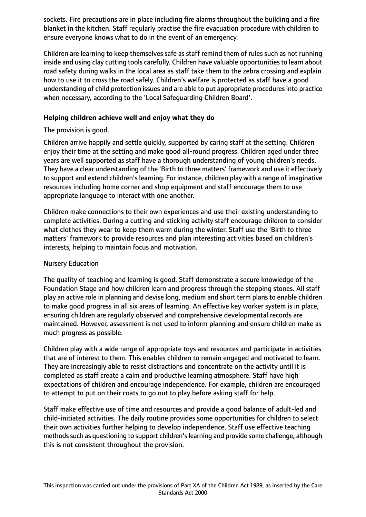sockets. Fire precautions are in place including fire alarms throughout the building and a fire blanket in the kitchen. Staff regularly practise the fire evacuation procedure with children to ensure everyone knows what to do in the event of an emergency.

Children are learning to keep themselves safe as staff remind them of rules such as not running inside and using clay cutting tools carefully. Children have valuable opportunities to learn about road safety during walks in the local area as staff take them to the zebra crossing and explain how to use it to cross the road safely. Children's welfare is protected as staff have a good understanding of child protection issues and are able to put appropriate proceduresinto practice when necessary, according to the 'Local Safeguarding Children Board'.

## **Helping children achieve well and enjoy what they do**

The provision is good.

Children arrive happily and settle quickly, supported by caring staff at the setting. Children enjoy their time at the setting and make good all-round progress. Children aged under three years are well supported as staff have a thorough understanding of young children's needs. They have a clear understanding of the 'Birth to three matters' framework and use it effectively to support and extend children's learning. For instance, children play with a range of imaginative resources including home corner and shop equipment and staff encourage them to use appropriate language to interact with one another.

Children make connections to their own experiences and use their existing understanding to complete activities. During a cutting and sticking activity staff encourage children to consider what clothes they wear to keep them warm during the winter. Staff use the 'Birth to three matters' framework to provide resources and plan interesting activities based on children's interests, helping to maintain focus and motivation.

## Nursery Education

The quality of teaching and learning is good. Staff demonstrate a secure knowledge of the Foundation Stage and how children learn and progress through the stepping stones. All staff play an active role in planning and devise long, medium and short term plans to enable children to make good progress in all six areas of learning. An effective key worker system is in place, ensuring children are regularly observed and comprehensive developmental records are maintained. However, assessment is not used to inform planning and ensure children make as much progress as possible.

Children play with a wide range of appropriate toys and resources and participate in activities that are of interest to them. This enables children to remain engaged and motivated to learn. They are increasingly able to resist distractions and concentrate on the activity until it is completed as staff create a calm and productive learning atmosphere. Staff have high expectations of children and encourage independence. For example, children are encouraged to attempt to put on their coats to go out to play before asking staff for help.

Staff make effective use of time and resources and provide a good balance of adult-led and child-initiated activities. The daily routine provides some opportunities for children to select their own activities further helping to develop independence. Staff use effective teaching methods such as questioning to support children's learning and provide some challenge, although this is not consistent throughout the provision.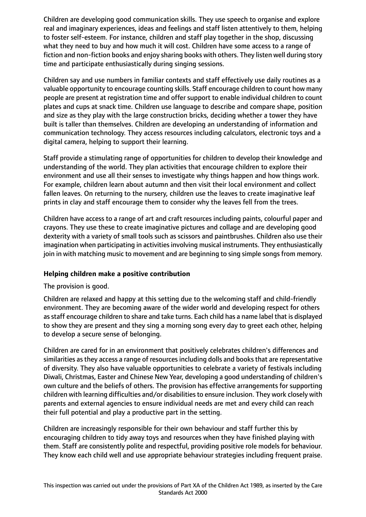Children are developing good communication skills. They use speech to organise and explore real and imaginary experiences, ideas and feelings and staff listen attentively to them, helping to foster self-esteem. For instance, children and staff play together in the shop, discussing what they need to buy and how much it will cost. Children have some access to a range of fiction and non-fiction books and enjoy sharing books with others. They listen well during story time and participate enthusiastically during singing sessions.

Children say and use numbers in familiar contexts and staff effectively use daily routines as a valuable opportunity to encourage counting skills. Staff encourage children to count how many people are present at registration time and offer support to enable individual children to count plates and cups at snack time. Children use language to describe and compare shape, position and size as they play with the large construction bricks, deciding whether a tower they have built is taller than themselves. Children are developing an understanding of information and communication technology. They access resources including calculators, electronic toys and a digital camera, helping to support their learning.

Staff provide a stimulating range of opportunities for children to develop their knowledge and understanding of the world. They plan activities that encourage children to explore their environment and use all their senses to investigate why things happen and how things work. For example, children learn about autumn and then visit their local environment and collect fallen leaves. On returning to the nursery, children use the leaves to create imaginative leaf prints in clay and staff encourage them to consider why the leaves fell from the trees.

Children have access to a range of art and craft resources including paints, colourful paper and crayons. They use these to create imaginative pictures and collage and are developing good dexterity with a variety of small tools such as scissors and paintbrushes. Children also use their imagination when participating in activities involving musical instruments. They enthusiastically join in with matching music to movement and are beginning to sing simple songs from memory.

## **Helping children make a positive contribution**

## The provision is good.

Children are relaxed and happy at this setting due to the welcoming staff and child-friendly environment. They are becoming aware of the wider world and developing respect for others as staff encourage children to share and take turns. Each child has a name label that is displayed to show they are present and they sing a morning song every day to greet each other, helping to develop a secure sense of belonging.

Children are cared for in an environment that positively celebrates children's differences and similarities as they access a range of resources including dolls and books that are representative of diversity. They also have valuable opportunities to celebrate a variety of festivals including Diwali, Christmas, Easter and Chinese New Year, developing a good understanding of children's own culture and the beliefs of others. The provision has effective arrangements for supporting children with learning difficulties and/or disabilitiesto ensure inclusion. They work closely with parents and external agencies to ensure individual needs are met and every child can reach their full potential and play a productive part in the setting.

Children are increasingly responsible for their own behaviour and staff further this by encouraging children to tidy away toys and resources when they have finished playing with them. Staff are consistently polite and respectful, providing positive role models for behaviour. They know each child well and use appropriate behaviour strategies including frequent praise.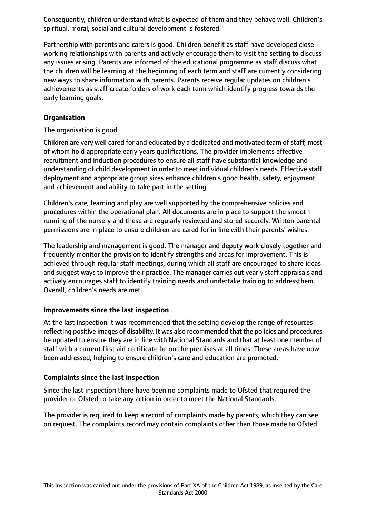Consequently, children understand what is expected of them and they behave well. Children's spiritual, moral, social and cultural development is fostered.

Partnership with parents and carers is good. Children benefit as staff have developed close working relationships with parents and actively encourage them to visit the setting to discuss any issues arising. Parents are informed of the educational programme as staff discuss what the children will be learning at the beginning of each term and staff are currently considering new ways to share information with parents. Parents receive regular updates on children's achievements as staff create folders of work each term which identify progress towards the early learning goals.

# **Organisation**

The organisation is good.

Children are very well cared for and educated by a dedicated and motivated team of staff, most of whom hold appropriate early years qualifications. The provider implements effective recruitment and induction procedures to ensure all staff have substantial knowledge and understanding of child development in order to meet individual children's needs. Effective staff deployment and appropriate group sizes enhance children's good health, safety, enjoyment and achievement and ability to take part in the setting.

Children's care, learning and play are well supported by the comprehensive policies and procedures within the operational plan. All documents are in place to support the smooth running of the nursery and these are regularly reviewed and stored securely. Written parental permissions are in place to ensure children are cared for in line with their parents' wishes.

The leadership and management is good. The manager and deputy work closely together and frequently monitor the provision to identify strengths and areas for improvement. This is achieved through regular staff meetings, during which all staff are encouraged to share ideas and suggest ways to improve their practice. The manager carries out yearly staff appraisals and actively encourages staff to identify training needs and undertake training to addressthem. Overall, children's needs are met.

## **Improvements since the last inspection**

At the last inspection it was recommended that the setting develop the range of resources reflecting positive images of disability. It was also recommended that the policies and procedures be updated to ensure they are in line with National Standards and that at least one member of staff with a current first aid certificate be on the premises at all times. These areas have now been addressed, helping to ensure children's care and education are promoted.

## **Complaints since the last inspection**

Since the last inspection there have been no complaints made to Ofsted that required the provider or Ofsted to take any action in order to meet the National Standards.

The provider is required to keep a record of complaints made by parents, which they can see on request. The complaints record may contain complaints other than those made to Ofsted.